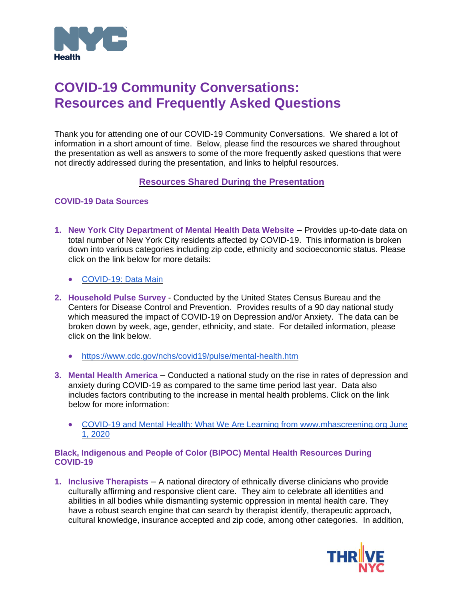

# **COVID-19 Community Conversations: Resources and Frequently Asked Questions**

Thank you for attending one of our COVID-19 Community Conversations. We shared a lot of information in a short amount of time. Below, please find the resources we shared throughout the presentation as well as answers to some of the more frequently asked questions that were not directly addressed during the presentation, and links to helpful resources.

## **Resources Shared During the Presentation**

## **COVID-19 Data Sources**

- **1. New York City Department of Mental Health Data Website** Provides up-to-date data on total number of New York City residents affected by COVID-19. This information is broken down into various categories including zip code, ethnicity and socioeconomic status. Please click on the link below for more details:
	- [COVID-19: Data Main](https://www1.nyc.gov/site/doh/covid/covid-19-data.page)
- **2. Household Pulse Survey** Conducted by the United States Census Bureau and the Centers for Disease Control and Prevention. Provides results of a 90 day national study which measured the impact of COVID-19 on Depression and/or Anxiety. The data can be broken down by week, age, gender, ethnicity, and state. For detailed information, please click on the link below.
	- <https://www.cdc.gov/nchs/covid19/pulse/mental-health.htm>
- **3. Mental Health America** Conducted a national study on the rise in rates of depression and anxiety during COVID-19 as compared to the same time period last year. Data also includes factors contributing to the increase in mental health problems. Click on the link below for more information:
	- COVID-19 and Mental Health: What We Are Learning from www.mhascreening.org June [1, 2020](https://mhanational.org/sites/default/files/Coronavirus%20Mental%20Health%20Presentation%206-1-2020.pdf)

### **Black, Indigenous and People of Color (BIPOC) Mental Health Resources During COVID-19**

**1. Inclusive Therapists** – A national directory of ethnically diverse clinicians who provide culturally affirming and responsive client care. They aim to celebrate all identities and abilities in all bodies while dismantling systemic oppression in mental health care. They have a robust search engine that can search by therapist identify, therapeutic approach, cultural knowledge, insurance accepted and zip code, among other categories. In addition,

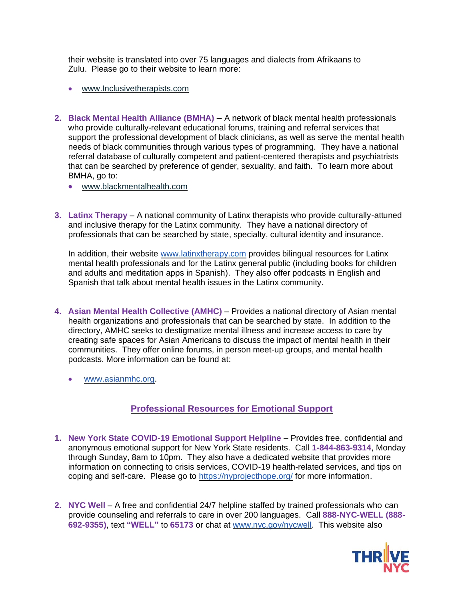their website is translated into over 75 languages and dialects from Afrikaans to Zulu. Please go to their website to learn more:

- [www.Inclusivetherapists.com](http://www.inclusivetherapists.com/)
- **2. Black Mental Health Alliance (BMHA)** A network of black mental health professionals who provide culturally-relevant educational forums, training and referral services that support the professional development of black clinicians, as well as serve the mental health needs of black communities through various types of programming. They have a national referral database of culturally competent and patient-centered therapists and psychiatrists that can be searched by preference of gender, sexuality, and faith. To learn more about BMHA, go to:
	- [www.blackmentalhealth.com](http://www.blackmentalhealth.com/)
- **3. Latinx Therapy**  A national community of Latinx therapists who provide culturally-attuned and inclusive therapy for the Latinx community. They have a national directory of professionals that can be searched by state, specialty, cultural identity and insurance.

In addition, their website [www.latinxtherapy.com](http://www.latinxtherapy.com/) provides bilingual resources for Latinx mental health professionals and for the Latinx general public (including books for children and adults and meditation apps in Spanish). They also offer podcasts in English and Spanish that talk about mental health issues in the Latinx community.

- **4. Asian Mental Health Collective (AMHC) Provides a national directory of Asian mental** health organizations and professionals that can be searched by state. In addition to the directory, AMHC seeks to destigmatize mental illness and increase access to care by creating safe spaces for Asian Americans to discuss the impact of mental health in their communities. They offer online forums, in person meet-up groups, and mental health podcasts. More information can be found at:
	- [www.asianmhc.org.](http://www.asianmhc.org/)

## **Professional Resources for Emotional Support**

- **1. New York State COVID-19 Emotional Support Helpline**  Provides free, confidential and anonymous emotional support for New York State residents. Call **1-844-863-9314**, Monday through Sunday, 8am to 10pm. They also have a dedicated website that provides more information on connecting to crisis services, COVID-19 health-related services, and tips on coping and self-care. Please go to<https://nyprojecthope.org/> for more information.
- **2. NYC Well**  A free and confidential 24/7 helpline staffed by trained professionals who can provide counseling and referrals to care in over 200 languages. Call **888-NYC-WELL (888- 692-9355)**, text **"WELL"** to **65173** or chat at [www.nyc.gov/nycwell.](http://www.nyc.gov/nycwell) This website also

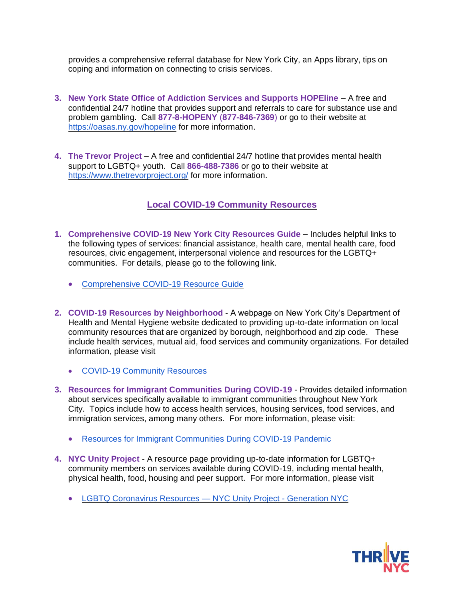provides a comprehensive referral database for New York City, an Apps library, tips on coping and information on connecting to crisis services.

- **3. New York State Office of Addiction Services and Supports HOPEline** A free and confidential 24/7 hotline that provides support and referrals to care for substance use and problem gambling. Call **877-8-HOPENY** (**877-846-7369**) or go to their website at <https://oasas.ny.gov/hopeline> for more information.
- **4. The Trevor Project**  A free and confidential 24/7 hotline that provides mental health support to LGBTQ+ youth. Call **866-488-7386** or go to their website at <https://www.thetrevorproject.org/> for more information.

## **Local COVID-19 Community Resources**

- **1. Comprehensive COVID-19 New York City Resources Guide**  Includes helpful links to the following types of services: financial assistance, health care, mental health care, food resources, civic engagement, interpersonal violence and resources for the LGBTQ+ communities. For details, please go to the following link.
	- [Comprehensive COVID-19 Resource Guide](https://www1.nyc.gov/assets/doh/downloads/pdf/imm/covid-19-resource-snapshot-comprehensive.pdf)
- **2. COVID-19 Resources by Neighborhood** A webpage on New York City's Department of Health and Mental Hygiene website dedicated to providing up-to-date information on local community resources that are organized by borough, neighborhood and zip code. These include health services, mutual aid, food services and community organizations. For detailed information, please visit
	- [COVID-19 Community Resources](http://www.nyc.gov/health/covidresources)
- **3. Resources for Immigrant Communities During COVID-19**  Provides detailed information about services specifically available to immigrant communities throughout New York City. Topics include how to access health services, housing services, food services, and immigration services, among many others. For more information, please visit:
	- [Resources for Immigrant Communities During COVID-19 Pandemic](https://www1.nyc.gov/site/immigrants/help/city-services/resources-for-immigrant-communities-during-covid-19-pandemic.page)
- **4. NYC Unity Project**  A resource page providing up-to-date information for LGBTQ+ community members on services available during COVID-19, including mental health, physical health, food, housing and peer support. For more information, please visit
	- [LGBTQ Coronavirus Resources —](https://growingupnyc.cityofnewyork.us/generationnyc/lgbtq-coronavirus-resources/) NYC Unity Project Generation NYC

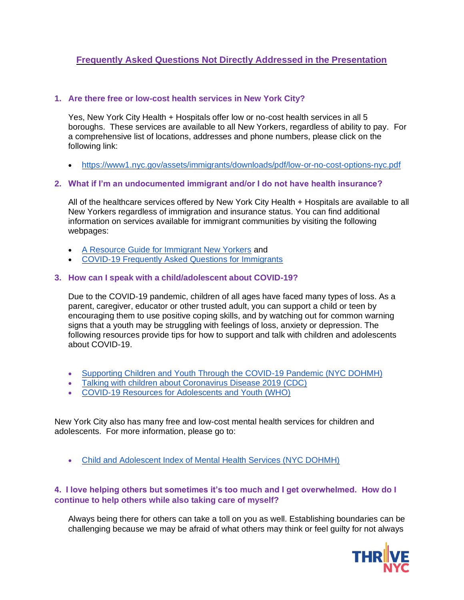## **Frequently Asked Questions Not Directly Addressed in the Presentation**

## **1. Are there free or low-cost health services in New York City?**

Yes, New York City Health + Hospitals offer low or no-cost health services in all 5 boroughs. These services are available to all New Yorkers, regardless of ability to pay. For a comprehensive list of locations, addresses and phone numbers, please click on the following link:

• <https://www1.nyc.gov/assets/immigrants/downloads/pdf/low-or-no-cost-options-nyc.pdf>

## **2. What if I'm an undocumented immigrant and/or I do not have health insurance?**

All of the healthcare services offered by New York City Health + Hospitals are available to all New Yorkers regardless of immigration and insurance status. You can find additional information on services available for immigrant communities by visiting the following webpages:

- [A Resource Guide for Immigrant New Yorkers](https://www1.nyc.gov/assets/immigrants/downloads/pdf/moia-one-pager-4-english.pdf) and
- [COVID-19 Frequently Asked Questions for Immigrants](https://www1.nyc.gov/site/immigrants/help/city-services/covid-19-frequently-asked-questions.page)

## **3. How can I speak with a child/adolescent about COVID-19?**

Due to the COVID-19 pandemic, children of all ages have faced many types of loss. As a parent, caregiver, educator or other trusted adult, you can support a child or teen by encouraging them to use positive coping skills, and by watching out for common warning signs that a youth may be struggling with feelings of loss, anxiety or depression. The following resources provide tips for how to support and talk with children and adolescents about COVID-19.

- [Supporting Children and Youth Through the COVID-19 Pandemic \(NYC DOHMH\)](https://www1.nyc.gov/assets/doh/downloads/pdf/covid/covid-19-support-children-and-youth.pdf)
- [Talking with children about Coronavirus Disease 2019 \(CDC\)](https://www.cdc.gov/coronavirus/2019-ncov/daily-life-coping/talking-with-children.html)
- [COVID-19 Resources for Adolescents and Youth \(WHO\)](https://www.who.int/maternal_child_adolescent/links/covid-19-mncah-resources-adolescents-and-youth/en/)

New York City also has many free and low-cost mental health services for children and adolescents. For more information, please go to:

• [Child and Adolescent Index of Mental Health Services \(NYC DOHMH\)](https://www1.nyc.gov/site/doh/health/health-topics/child-and-adolescent-mental-health-services.page)

## **4. I love helping others but sometimes it's too much and I get overwhelmed. How do I continue to help others while also taking care of myself?**

Always being there for others can take a toll on you as well. Establishing boundaries can be challenging because we may be afraid of what others may think or feel guilty for not always

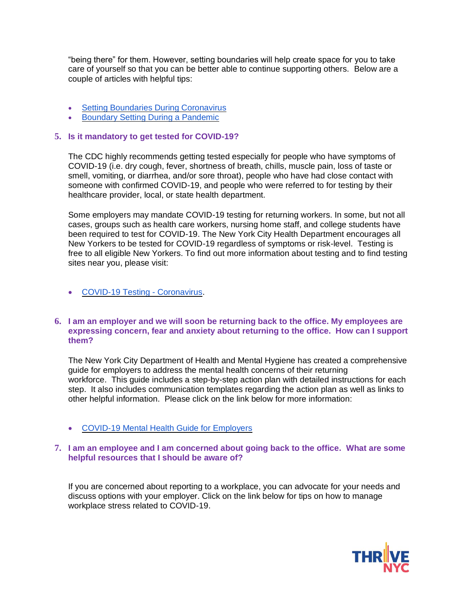"being there" for them. However, setting boundaries will help create space for you to take care of yourself so that you can be better able to continue supporting others. Below are a couple of articles with helpful tips:

- [Setting Boundaries During Coronavirus](https://www.psychologytoday.com/us/blog/your-emotional-meter/202007/setting-boundaries-during-coronavirus)
- [Boundary Setting During a Pandemic](https://georgetownpsychology.com/2020/04/boundary-setting-during-a-pandemic/)

#### **5. Is it mandatory to get tested for COVID-19?**

The CDC highly recommends getting tested especially for people who have symptoms of COVID-19 (i.e. dry cough, fever, shortness of breath, chills, muscle pain, loss of taste or smell, vomiting, or diarrhea, and/or sore throat), people who have had close contact with someone with confirmed COVID-19, and people who were referred to for testing by their healthcare provider, local, or state health department.

Some employers may mandate COVID-19 testing for returning workers. In some, but not all cases, groups such as health care workers, nursing home staff, and college students have been required to test for COVID-19. The New York City Health Department encourages all New Yorkers to be tested for COVID-19 regardless of symptoms or risk-level. Testing is free to all eligible New Yorkers. To find out more information about testing and to find testing sites near you, please visit:

#### • [COVID-19 Testing -](https://www1.nyc.gov/site/coronavirus/get-tested/covid-19-testing.page) Coronavirus.

#### **6. I am an employer and we will soon be returning back to the office. My employees are expressing concern, fear and anxiety about returning to the office. How can I support them?**

The New York City Department of Health and Mental Hygiene has created a comprehensive guide for employers to address the mental health concerns of their returning workforce. This guide includes a step-by-step action plan with detailed instructions for each step. It also includes communication templates regarding the action plan as well as links to other helpful information. Please click on the link below for more information:

• [COVID-19 Mental Health Guide for Employers](https://thrivenyc.cityofnewyork.us/wp-content/uploads/2020/05/COVID-19-Workplace-Mental-Health-Guide-Employers.pdf)

#### **7. I am an employee and I am concerned about going back to the office. What are some helpful resources that I should be aware of?**

If you are concerned about reporting to a workplace, you can advocate for your needs and discuss options with your employer. Click on the link below for tips on how to manage workplace stress related to COVID-19.

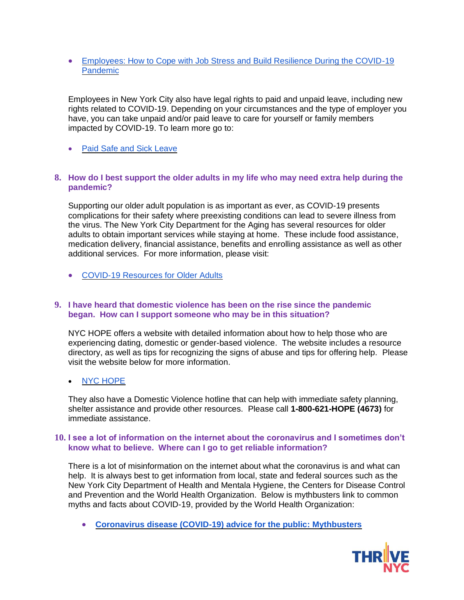• [Employees: How to Cope with Job Stress and Build Resilience During the COVID-19](https://www.cdc.gov/coronavirus/2019-ncov/community/mental-health-non-healthcare.html)  [Pandemic](https://www.cdc.gov/coronavirus/2019-ncov/community/mental-health-non-healthcare.html)

Employees in New York City also have legal rights to paid and unpaid leave, including new rights related to COVID-19. Depending on your circumstances and the type of employer you have, you can take unpaid and/or paid leave to care for yourself or family members impacted by COVID-19. To learn more go to:

• [Paid Safe and Sick Leave](https://access.nyc.gov/programs/safe-and-sick-leave/?step=how-it-works)

#### **8. How do I best support the older adults in my life who may need extra help during the pandemic?**

Supporting our older adult population is as important as ever, as COVID-19 presents complications for their safety where preexisting conditions can lead to severe illness from the virus. The New York City Department for the Aging has several resources for older adults to obtain important services while staying at home. These include food assistance, medication delivery, financial assistance, benefits and enrolling assistance as well as other additional services. For more information, please visit:

• [COVID-19 Resources for Older Adults](https://www1.nyc.gov/site/dfta/services/covid-19-resources.page)

#### **9. I have heard that domestic violence has been on the rise since the pandemic began. How can I support someone who may be in this situation?**

NYC HOPE offers a website with detailed information about how to help those who are experiencing dating, domestic or gender-based violence. The website includes a resource directory, as well as tips for recognizing the signs of abuse and tips for offering help. Please visit the website below for more information.

### • [NYC HOPE](https://www1.nyc.gov/nychope/site/page/home)

They also have a Domestic Violence hotline that can help with immediate safety planning, shelter assistance and provide other resources. Please call **1-800-621-HOPE (4673)** for immediate assistance.

#### **10. I see a lot of information on the internet about the coronavirus and I sometimes don't know what to believe. Where can I go to get reliable information?**

There is a lot of misinformation on the internet about what the coronavirus is and what can help. It is always best to get information from local, state and federal sources such as the New York City Department of Health and Mentala Hygiene, the Centers for Disease Control and Prevention and the World Health Organization. Below is mythbusters link to common myths and facts about COVID-19, provided by the World Health Organization:

• **[Coronavirus disease \(COVID-19\) advice for the public: Mythbusters](https://www.who.int/emergencies/diseases/novel-coronavirus-2019/advice-for-public/myth-busters)**